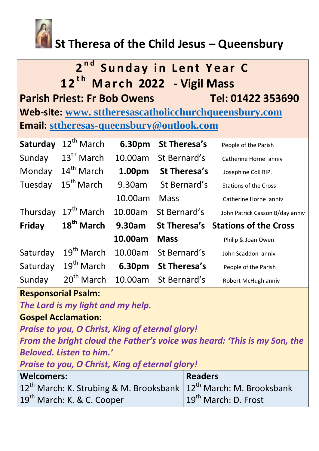

# **St Theresa of the Child Jesus – Queensbury**

# **2<sup>nd</sup> Sunday in Lent Year C 1 2t h M a r c h 2022 - Vigil Mass Parish Priest: Fr Bob Owens Tel: 01422 353690 Web-site: www. [sttheresascatholicchurchqueensbury.com](http://www.sttheresascatholicchurchqueensbury.com/) Email: [sttheresas-queensbury@outlook.com](mailto:sttheresas-queensbury@outlook.com)**

| Saturday      | 12 <sup>th</sup> March | 6.30pm  | <b>St Theresa's</b>  | People of the Parish               |
|---------------|------------------------|---------|----------------------|------------------------------------|
| Sunday        | $13th$ March           | 10.00am | St Bernard's         | Catherine Horne anniv              |
| Monday        | 14 <sup>th</sup> March | 1.00pm  | St Theresa's         | Josephine Coll RIP.                |
| Tuesday       | $15th$ March           | 9.30am  | St Bernard's         | <b>Stations of the Cross</b>       |
|               |                        | 10.00am | <b>Mass</b>          | Catherine Horne anniv              |
| Thursday      | 17 <sup>th</sup> March | 10.00am | St Bernard's         | John Patrick Casson B/day anniv    |
| <b>Friday</b> | 18 <sup>th</sup> March | 9.30am  |                      | St Theresa's Stations of the Cross |
|               |                        | 10.00am | <b>Mass</b>          | Philip & Joan Owen                 |
| Saturday      | $19th$ March           | 10.00am | St Bernard's         | John Scaddon anniv                 |
| Saturday      | $19th$ March           | 6.30pm  | St Theresa's         | People of the Parish               |
| Sunday        | $20tn$ March           |         | 10.00am St Bernard's | Robert McHugh anniv                |

### **Responsorial Psalm:**

*The Lord is my light and my help.*

**Gospel Acclamation:**

*Praise to you, O Christ, King of eternal glory! From the bright cloud the Father's voice was heard: 'This is my Son, the* 

*Beloved. Listen to him.'*

*Praise to you, O Christ, King of eternal glory!*

| <b>Welcomers:</b>                                                                 | <b>Readers</b>                   |  |
|-----------------------------------------------------------------------------------|----------------------------------|--|
| $12^{th}$ March: K. Strubing & M. Brooksbank $\left 12^{th}$ March: M. Brooksbank |                                  |  |
| 19 <sup>th</sup> March: K. & C. Cooper                                            | 19 <sup>th</sup> March: D. Frost |  |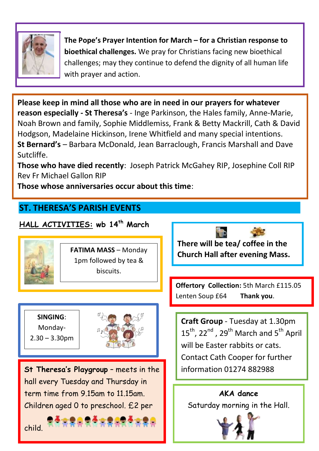

**The Pope's Prayer Intention for March – for a Christian response to bioethical challenges.** We pray for Christians facing new bioethical challenges; may they continue to defend the dignity of all human life with prayer and action.

**Please keep in mind all those who are in need in our prayers for whatever reason especially - St Theresa's** - Inge Parkinson, the Hales family, Anne-Marie, Noah Brown and family, Sophie Middlemiss, Frank & Betty Mackrill, Cath & David Hodgson, Madelaine Hickinson, Irene Whitfield and many special intentions. **St Bernard's** – Barbara McDonald, Jean Barraclough, Francis Marshall and Dave Sutcliffe.

**Those who have died recently**: Joseph Patrick McGahey RIP, Josephine Coll RIP Rev Fr Michael Gallon RIP

**Those whose anniversaries occur about this time**:

## **ST. THERESA'S PARISH EVENTS**

## **HALL ACTIVITIES: wb 14 th March**



**FATIMA MASS** – Monday 1pm followed by tea & biscuits.

**SINGING**: Monday-

2.30 – 3.30pm

֞

child.

Ξ



**St Theresa's Playgroup** – meets in the hall every Tuesday and Thursday in term time from 9.15am to 11.15am. Children aged 0 to preschool. £2 per



**There will be tea/ coffee in the Church Hall after evening Mass.** 

**Offertory Collection:** 5th March £115.05 Lenten Soup £64 **Thank you**.

**Craft Group** - Tuesday at 1.30pm 15<sup>th</sup>, 22<sup>nd</sup>, 29<sup>th</sup> March and 5<sup>th</sup> April will be Easter rabbits or cats. Contact Cath Cooper for further information 01274 882988

**AKA dance**  Saturday morning in the Hall.

Ī

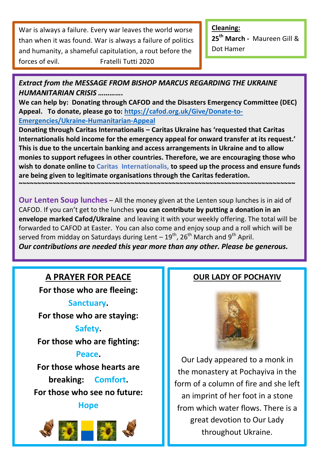War is always a failure. Every war leaves the world worse than when it was found. War is always a failure of politics and humanity, a shameful capitulation, a rout before the forces of evil. Fratelli Tutti 2020

**Cleaning: 25th March -** Maureen Gill & Dot Hamer

*Extract from the MESSAGE FROM BISHOP MARCUS REGARDING THE UKRAINE HUMANITARIAN CRISIS ………….* 

**We can help by: Donating through CAFOD and the Disasters Emergency Committee (DEC) Appeal. To donate, please go to: [https://cafod.org.uk/Give/Donate-to-](https://cafod.org.uk/Give/Donate-to-Emergencies/Ukraine-Humanitarian-Appeal)[Emergencies/Ukraine-Humanitarian-Appeal](https://cafod.org.uk/Give/Donate-to-Emergencies/Ukraine-Humanitarian-Appeal)** 

**Donating through Caritas Internationalis – Caritas Ukraine has 'requested that Caritas Internationalis hold income for the emergency appeal for onward transfer at its request.' This is due to the uncertain banking and access arrangements in Ukraine and to allow monies to support refugees in other countries. Therefore, we are encouraging those who wish to donate online to Caritas Internationalis, to speed up the process and ensure funds are being given to legitimate organisations through the Caritas federation.** 

**Our Lenten Soup lunches** – All the money given at the Lenten soup lunches is in aid of CAFOD. If you can't get to the lunches **you can contribute by putting a donation in an envelope marked Cafod/Ukraine** and leaving it with your weekly offering. The total will be forwarded to CAFOD at Easter. You can also come and enjoy soup and a roll which will be served from midday on Saturdays during Lent  $-19^{th}$ , 26<sup>th</sup> March and 9<sup>th</sup> April. *Our contributions are needed this year more than any other. Please be generous.* 

**~~~~~~~~~~~~~~~~~~~~~~~~~~~~~~~~~~~~~~~~~~~~~~~~~~~~~~~~~~~~~~~~~~~~~~~~~~** 

## **A PRAYER FOR PEACE**

**For those who are fleeing:** 

**Sanctuary.** 

**For those who are staying:** 

#### **Safety.**

**For those who are fighting:** 

**Peace.** 

**For those whose hearts are breaking: Comfort. For those who see no future:** 

#### **Hope**



### **OUR LADY OF POCHAYIV**



Our Lady appeared to a monk in the monastery at Pochayiva in the form of a column of fire and she left an imprint of her foot in a stone from which water flows. There is a great devotion to Our Lady throughout Ukraine.